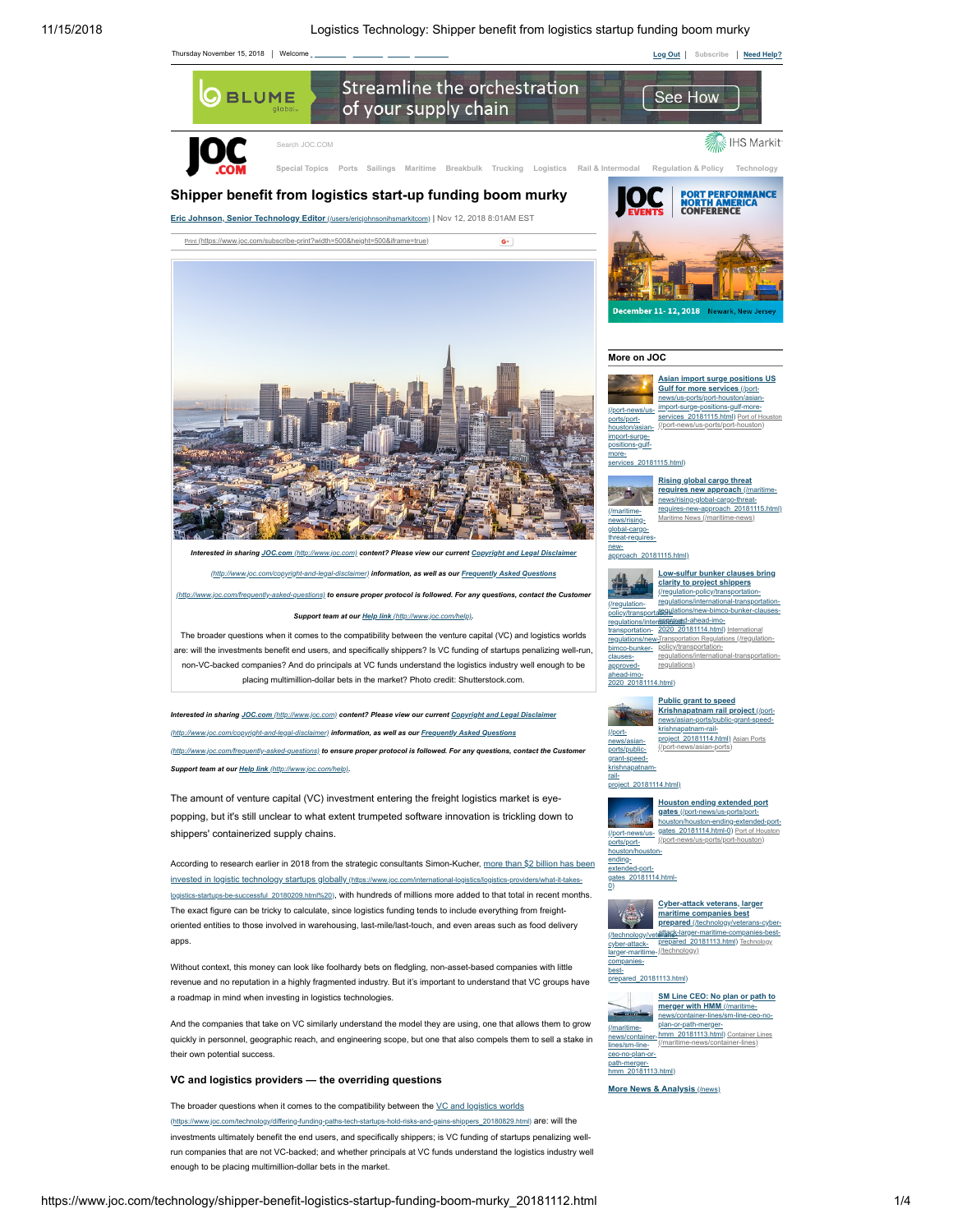

enough to be placing multimillion-dollar bets in the market.

run companies that are not VC-backed; and whether principals at VC funds understand the logistics industry well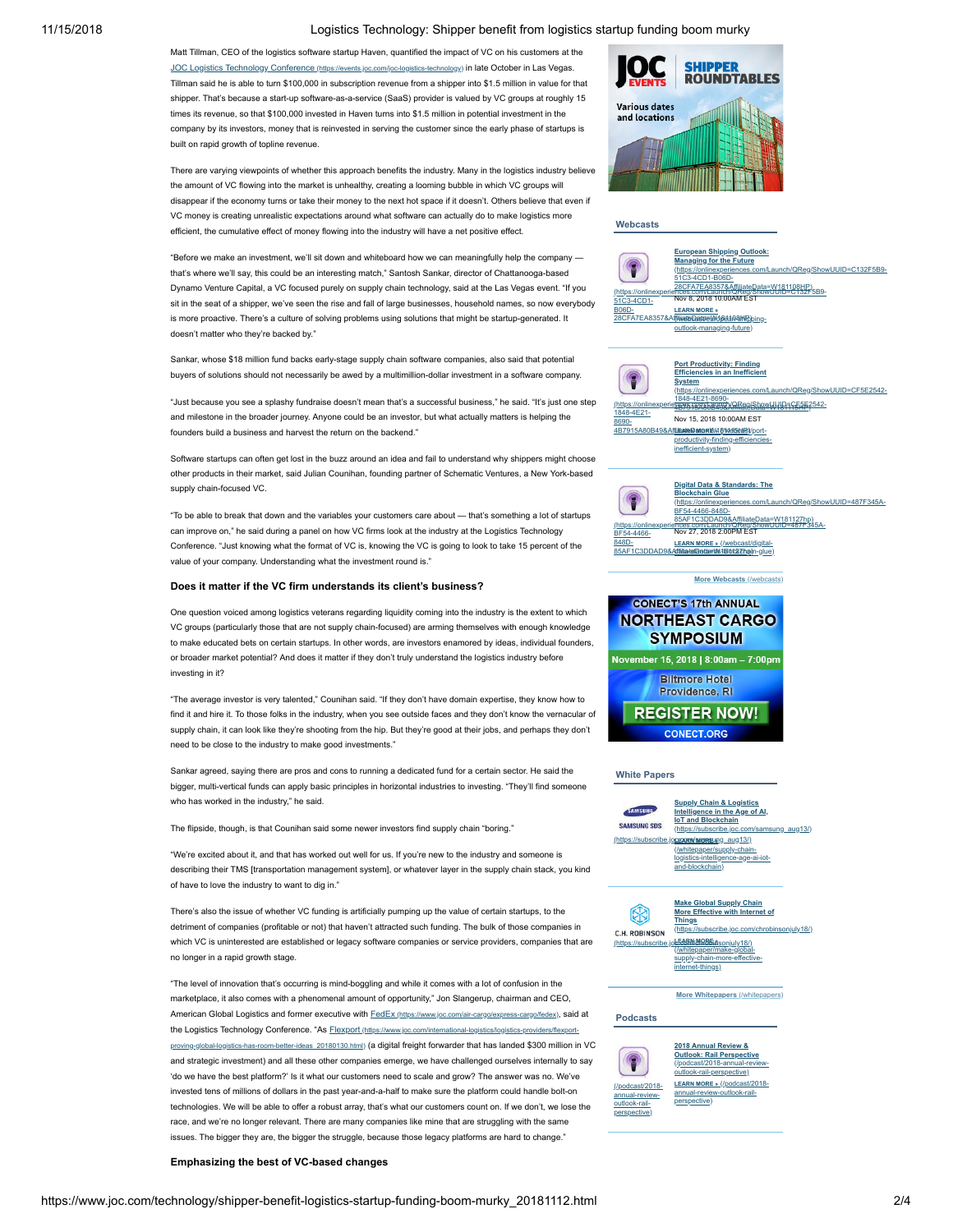#### 11/15/2018 Logistics Technology: Shipper benefit from logistics startup funding boom murky

Matt Tillman, CEO of the logistics software startup Haven, quantified the impact of VC on his customers at the JOC Logistics Technology Conference [\(https://events.joc.com/joc-logistics-technology\)](https://events.joc.com/joc-logistics-technology) in late October in Las Vegas. Tillman said he is able to turn \$100,000 in subscription revenue from a shipper into \$1.5 million in value for that shipper. That's because a start-up software-as-a-service (SaaS) provider is valued by VC groups at roughly 15 times its revenue, so that \$100,000 invested in Haven turns into \$1.5 million in potential investment in the company by its investors, money that is reinvested in serving the customer since the early phase of startups is built on rapid growth of topline revenue.

There are varying viewpoints of whether this approach benefits the industry. Many in the logistics industry believe the amount of VC flowing into the market is unhealthy, creating a looming bubble in which VC groups will disappear if the economy turns or take their money to the next hot space if it doesn't. Others believe that even if VC money is creating unrealistic expectations around what software can actually do to make logistics more efficient, the cumulative effect of money flowing into the industry will have a net positive effect.

"Before we make an investment, we'll sit down and whiteboard how we can meaningfully help the company that's where we'll say, this could be an interesting match," Santosh Sankar, director of Chattanooga-based Dynamo Venture Capital, a VC focused purely on supply chain technology, said at the Las Vegas event. "If you sit in the seat of a shipper, we've seen the rise and fall of large businesses, household names, so now everybody is more proactive. There's a culture of solving problems using solutions that might be startup-generated. It doesn't matter who they're backed by."

Sankar, whose \$18 million fund backs early-stage supply chain software companies, also said that potential buyers of solutions should not necessarily be awed by a multimillion-dollar investment in a software company.

"Just because you see a splashy fundraise doesn't mean that's a successful business," he said. "It's just one step and milestone in the broader journey. Anyone could be an investor, but what actually matters is helping the founders build a business and harvest the return on the backend."

Software startups can often get lost in the buzz around an idea and fail to understand why shippers might choose other products in their market, said Julian Counihan, founding partner of Schematic Ventures, a New York-based supply chain-focused VC.

"To be able to break that down and the variables your customers care about — that's something a lot of startups can improve on," he said during a panel on how VC firms look at the industry at the Logistics Technology Conference. "Just knowing what the format of VC is, knowing the VC is going to look to take 15 percent of the value of your company. Understanding what the investment round is."

#### **Does it matter if the VC firm understands its client's business?**

One question voiced among logistics veterans regarding liquidity coming into the industry is the extent to which VC groups (particularly those that are not supply chain-focused) are arming themselves with enough knowledge to make educated bets on certain startups. In other words, are investors enamored by ideas, individual founders, or broader market potential? And does it matter if they don't truly understand the logistics industry before investing in it?

"The average investor is very talented," Counihan said. "If they don't have domain expertise, they know how to find it and hire it. To those folks in the industry, when you see outside faces and they don't know the vernacular of supply chain, it can look like they're shooting from the hip. But they're good at their jobs, and perhaps they don't need to be close to the industry to make good investments."

Sankar agreed, saying there are pros and cons to running a dedicated fund for a certain sector. He said the bigger, multi-vertical funds can apply basic principles in horizontal industries to investing. "They'll find someone who has worked in the industry," he said.

The flipside, though, is that Counihan said some newer investors find supply chain "boring."

"We're excited about it, and that has worked out well for us. If you're new to the industry and someone is describing their TMS [transportation management system], or whatever layer in the supply chain stack, you kind of have to love the industry to want to dig in."

There's also the issue of whether VC funding is artificially pumping up the value of certain startups, to the detriment of companies (profitable or not) that haven't attracted such funding. The bulk of those companies in which VC is uninterested are established or legacy software companies or service providers, companies that are no longer in a rapid growth stage.

"The level of innovation that's occurring is mind-boggling and while it comes with a lot of confusion in the marketplace, it also comes with a phenomenal amount of opportunity," Jon Slangerup, chairman and CEO, American Global Logistics and former executive with FedEx [\(https://www.joc.com/air-cargo/express-cargo/fedex\)](https://www.joc.com/air-cargo/express-cargo/fedex), said at the Logistics Technology Conference. "As **Flexport** (https://www.joc.com/international-logistics/logistics-providers-providers) n-better-ideas\_20180130.html) (a digital freight forwarder that has landed \$300 million in VC and strategic investment) and all these other companies emerge, we have challenged ourselves internally to say 'do we have the best platform?' Is it what our customers need to scale and grow? The answer was no. We've invested tens of millions of dollars in the past year-and-a-half to make sure the platform could handle bolt-on technologies. We will be able to offer a robust array, that's what our customers count on. If we don't, we lose the race, and we're no longer relevant. There are many companies like mine that are struggling with the same issues. The bigger they are, the bigger the struggle, because those legacy platforms are hard to change."

## **Emphasizing the best of VC-based changes**



#### **Webcasts**



productivity-finding-efficienc inefficient-system) [\(https://onlinexperiences.com/Launch/QReg/ShowUUID=487F345A-](https://onlinexperiences.com/Launch/QReg/ShowUUID=487F345A-BF54-4466-848D-85AF1C3DDAD9&AffiliateData=W181127hp) Nov 27, 2018 2:00PM EST F54-4466 848D-**Digital Data & Standards: The Blockchain Glue**<br>(https://onlinexperi d/ShowUUID=487F345A-BF54-4466-848DteData=W181127hp)<br>/ShowUUID=487F345A-**LEARN MORE »** (/webcast/digital-



85AF1C3DDAD9&Affiliate@ata#M61Bibt2iZhpin-glue)

4B7915A80B49&AffiliateData=W181115HP) **LEARN MORE »** (/webcast/port-



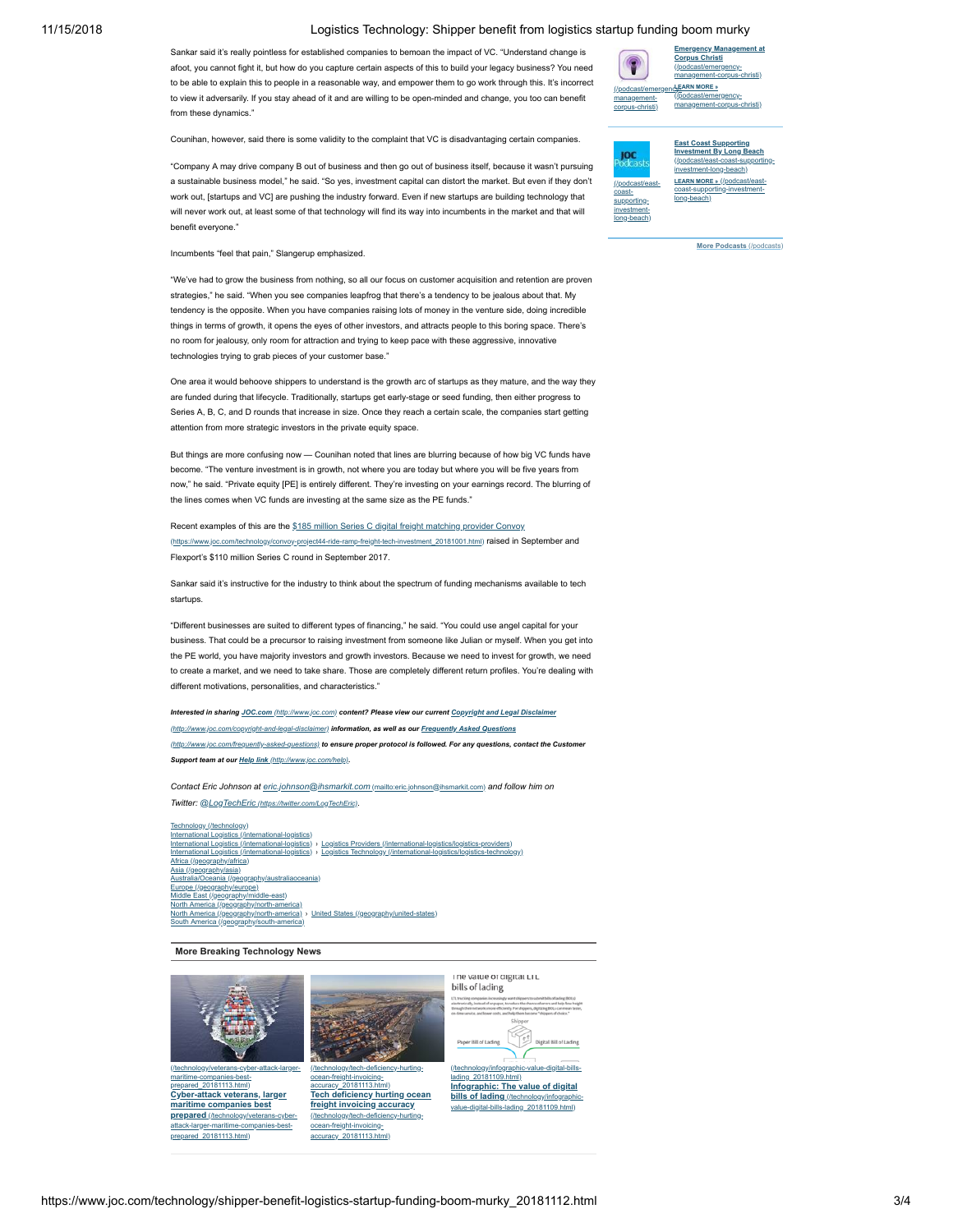## 11/15/2018 Logistics Technology: Shipper benefit from logistics startup funding boom murky

Sankar said it's really pointless for established companies to bemoan the impact of VC. "Understand change is afoot, you cannot fight it, but how do you capture certain aspects of this to build your legacy business? You need to be able to explain this to people in a reasonable way, and empower them to go work through this. It's incorrect to view it adversarily. If you stay ahead of it and are willing to be open-minded and change, you too can benefit from these dynamics."

Counihan, however, said there is some validity to the complaint that VC is disadvantaging certain companies.

"Company A may drive company B out of business and then go out of business itself, because it wasn't pursuing a sustainable business model," he said. "So yes, investment capital can distort the market. But even if they don't work out, [startups and VC] are pushing the industry forward. Even if new startups are building technology that will never work out, at least some of that technology will find its way into incumbents in the market and that will benefit everyone."



**[Emergency Management at](https://www.joc.com/podcast/emergency-management-corpus-christi)**

**East Coast Supporting Investment By Long Beach** ЮC cast/east-co nvestment-long-beach) **LEARN MORE »** (/podcast/e  $($ /podcast/e [coast-supporting-investment](https://www.joc.com/podcast/east-coast-supporting-investment-long-beach)coast-supportinglong-beach)investmentlong-beach)

**[More Podcasts](https://www.joc.com/podcasts)** (/podcasts)

Incumbents "feel that pain," Slangerup emphasized.

"We've had to grow the business from nothing, so all our focus on customer acquisition and retention are proven strategies," he said. "When you see companies leapfrog that there's a tendency to be jealous about that. My tendency is the opposite. When you have companies raising lots of money in the venture side, doing incredible things in terms of growth, it opens the eyes of other investors, and attracts people to this boring space. There's no room for jealousy, only room for attraction and trying to keep pace with these aggressive, innovative technologies trying to grab pieces of your customer base."

One area it would behoove shippers to understand is the growth arc of startups as they mature, and the way they are funded during that lifecycle. Traditionally, startups get early-stage or seed funding, then either progress to Series A, B, C, and D rounds that increase in size. Once they reach a certain scale, the companies start getting attention from more strategic investors in the private equity space.

But things are more confusing now — Counihan noted that lines are blurring because of how big VC funds have become. "The venture investment is in growth, not where you are today but where you will be five years from now," he said. "Private equity [PE] is entirely different. They're investing on your earnings record. The blurring of the lines comes when VC funds are investing at the same size as the PE funds."

Recent examples of this are the \$185 million Series C digital freight matching provider Convoy oy-project44-ride-ramp-freight-tech-investment\_20181001.html) raised in September and Flexport's \$110 million Series C round in September 2017.

Sankar said it's instructive for the industry to think about the spectrum of funding mechanisms available to tech startups.

"Different businesses are suited to different types of financing," he said. "You could use angel capital for your business. That could be a precursor to raising investment from someone like Julian or myself. When you get into the PE world, you have majority investors and growth investors. Because we need to invest for growth, we need to create a market, and we need to take share. Those are completely different return profiles. You're dealing with different motivations, personalities, and characteristics."

*Interested in sharing JOC.com [\(http://www.joc.com\)](http://www.joc.com/) [content? Please view our current Copyright and Legal Disclaimer](http://www.joc.com/copyright-and-legal-disclaimer) (http://www.joc.com/copyright-and-legal-disclaimer) information, as well as our Frequently Asked Questions (http://www.joc.com/frequently-asked-questions) [to ensure proper protocol is followed. For any questions, c](http://www.joc.com/frequently-asked-questions)ontact the Customer Support team at our Help link [\(http://www.joc.com/help\)](http://www.joc.com/help).*

*Contact Eric Johnson at [eric.johnson@ihsmarkit.com](mailto:eric.johnson@ihsmarkit.com)* (mailto:eric.johnson@ihsmarkit.com) *and follow him on Twitter: @LogTechEric [\(https://twitter.com/LogTechEric\)](https://twitter.com/LogTechEric).*

[Technology \(/technology\)](https://www.joc.com/technology) [International Logistics \(/international-logistics\)](https://www.joc.com/international-logistics) [International Logistics \(/international-logistics\)](https://www.joc.com/international-logistics) › [Logistics Providers \(/international-logistics/logistics-providers\)](https://www.joc.com/international-logistics/logistics-providers) [International Logistics \(/international-logistics\)](https://www.joc.com/international-logistics) > [Logistics Technology \(/international-logistics/logistics-technology\)](https://www.joc.com/international-logistics/logistics-technology)<br>Africa (/geography/africa) <u>[Africa \(/geography/africa\)](https://www.joc.com/geography/africa)</u><br>Asia <u>(/geography/asia)</u> <u>[Australia/Oceania \(/geography/australiaoceania\)](https://www.joc.com/geography/australiaoceania)</u><br><u>[Europe \(/geography/europe\)](https://www.joc.com/geography/europe)</u><br>Middle East <u>(/geography/middle-east)</u> [North America \(/geography/north-america\)](https://www.joc.com/geography/north-america) [North America \(/geography/north-america\)](https://www.joc.com/geography/north-america) › [United States \(/geography/united-states\)](https://www.joc.com/geography/united-states) uth America (/geography/south-an

### **More Breaking Technology News**



maritime-companies-bestprepared\_20181113.html) **Cyber-attack veterans, larger maritime companies best prepared** (/technology/veterans [attack-larger-maritime-companies-best](https://www.joc.com/technology/veterans-cyber-attack-larger-maritime-companies-best-prepared_20181113.html)prepared\_20181113.html)



**Tech deficiency hurting ocean freight invoicing accuracy** [\(/technology/tech-deficiency-hurting](https://www.joc.com/technology/tech-deficiency-hurting-ocean-freight-invoicing-accuracy_20181113.html)ean-freight-invo accuracy\_20181113.html)